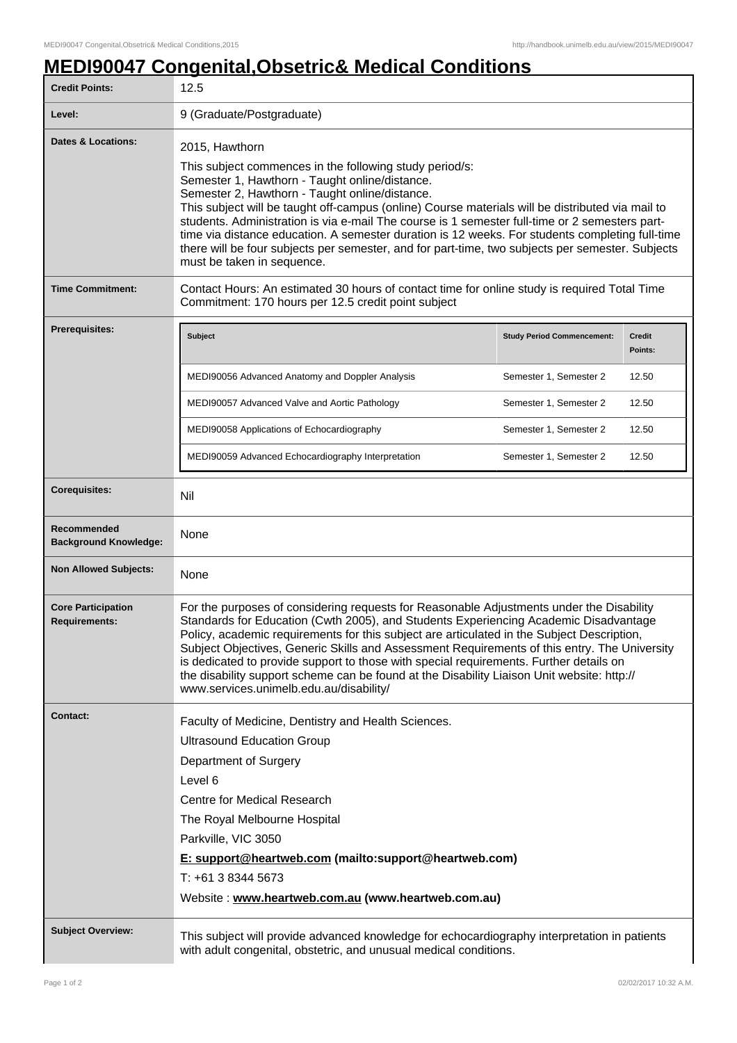## **MEDI90047 Congenital,Obsetric& Medical Conditions**

| <b>Credit Points:</b>                             | 12.5                                                                                                                                                                                                                                                                                                                                                                                                                                                                                                                                                                                                                     |                                   |                          |
|---------------------------------------------------|--------------------------------------------------------------------------------------------------------------------------------------------------------------------------------------------------------------------------------------------------------------------------------------------------------------------------------------------------------------------------------------------------------------------------------------------------------------------------------------------------------------------------------------------------------------------------------------------------------------------------|-----------------------------------|--------------------------|
| Level:                                            | 9 (Graduate/Postgraduate)                                                                                                                                                                                                                                                                                                                                                                                                                                                                                                                                                                                                |                                   |                          |
| <b>Dates &amp; Locations:</b>                     | 2015, Hawthorn<br>This subject commences in the following study period/s:<br>Semester 1, Hawthorn - Taught online/distance.<br>Semester 2, Hawthorn - Taught online/distance.<br>This subject will be taught off-campus (online) Course materials will be distributed via mail to<br>students. Administration is via e-mail The course is 1 semester full-time or 2 semesters part-<br>time via distance education. A semester duration is 12 weeks. For students completing full-time<br>there will be four subjects per semester, and for part-time, two subjects per semester. Subjects<br>must be taken in sequence. |                                   |                          |
| <b>Time Commitment:</b>                           | Contact Hours: An estimated 30 hours of contact time for online study is required Total Time<br>Commitment: 170 hours per 12.5 credit point subject                                                                                                                                                                                                                                                                                                                                                                                                                                                                      |                                   |                          |
| Prerequisites:                                    | <b>Subject</b>                                                                                                                                                                                                                                                                                                                                                                                                                                                                                                                                                                                                           | <b>Study Period Commencement:</b> | <b>Credit</b><br>Points: |
|                                                   | MEDI90056 Advanced Anatomy and Doppler Analysis                                                                                                                                                                                                                                                                                                                                                                                                                                                                                                                                                                          | Semester 1, Semester 2            | 12.50                    |
|                                                   | MEDI90057 Advanced Valve and Aortic Pathology                                                                                                                                                                                                                                                                                                                                                                                                                                                                                                                                                                            | Semester 1, Semester 2            | 12.50                    |
|                                                   | MEDI90058 Applications of Echocardiography                                                                                                                                                                                                                                                                                                                                                                                                                                                                                                                                                                               | Semester 1, Semester 2            | 12.50                    |
|                                                   | MEDI90059 Advanced Echocardiography Interpretation                                                                                                                                                                                                                                                                                                                                                                                                                                                                                                                                                                       | Semester 1, Semester 2            | 12.50                    |
| <b>Corequisites:</b>                              | Nil                                                                                                                                                                                                                                                                                                                                                                                                                                                                                                                                                                                                                      |                                   |                          |
| Recommended<br><b>Background Knowledge:</b>       | None                                                                                                                                                                                                                                                                                                                                                                                                                                                                                                                                                                                                                     |                                   |                          |
| <b>Non Allowed Subjects:</b>                      | None                                                                                                                                                                                                                                                                                                                                                                                                                                                                                                                                                                                                                     |                                   |                          |
| <b>Core Participation</b><br><b>Requirements:</b> | For the purposes of considering requests for Reasonable Adjustments under the Disability<br>Standards for Education (Cwth 2005), and Students Experiencing Academic Disadvantage<br>Policy, academic requirements for this subject are articulated in the Subject Description,<br>Subject Objectives, Generic Skills and Assessment Requirements of this entry. The University<br>is dedicated to provide support to those with special requirements. Further details on<br>the disability support scheme can be found at the Disability Liaison Unit website: http://<br>www.services.unimelb.edu.au/disability/        |                                   |                          |
| <b>Contact:</b>                                   | Faculty of Medicine, Dentistry and Health Sciences.                                                                                                                                                                                                                                                                                                                                                                                                                                                                                                                                                                      |                                   |                          |
|                                                   | <b>Ultrasound Education Group</b>                                                                                                                                                                                                                                                                                                                                                                                                                                                                                                                                                                                        |                                   |                          |
|                                                   | Department of Surgery                                                                                                                                                                                                                                                                                                                                                                                                                                                                                                                                                                                                    |                                   |                          |
|                                                   | Level 6                                                                                                                                                                                                                                                                                                                                                                                                                                                                                                                                                                                                                  |                                   |                          |
|                                                   | Centre for Medical Research                                                                                                                                                                                                                                                                                                                                                                                                                                                                                                                                                                                              |                                   |                          |
|                                                   | The Royal Melbourne Hospital                                                                                                                                                                                                                                                                                                                                                                                                                                                                                                                                                                                             |                                   |                          |
|                                                   | Parkville, VIC 3050<br>E: support@heartweb.com (mailto:support@heartweb.com)                                                                                                                                                                                                                                                                                                                                                                                                                                                                                                                                             |                                   |                          |
|                                                   | T: +61 3 8344 5673                                                                                                                                                                                                                                                                                                                                                                                                                                                                                                                                                                                                       |                                   |                          |
|                                                   | Website: www.heartweb.com.au (www.heartweb.com.au)                                                                                                                                                                                                                                                                                                                                                                                                                                                                                                                                                                       |                                   |                          |
| <b>Subject Overview:</b>                          | This subject will provide advanced knowledge for echocardiography interpretation in patients<br>with adult congenital, obstetric, and unusual medical conditions.                                                                                                                                                                                                                                                                                                                                                                                                                                                        |                                   |                          |